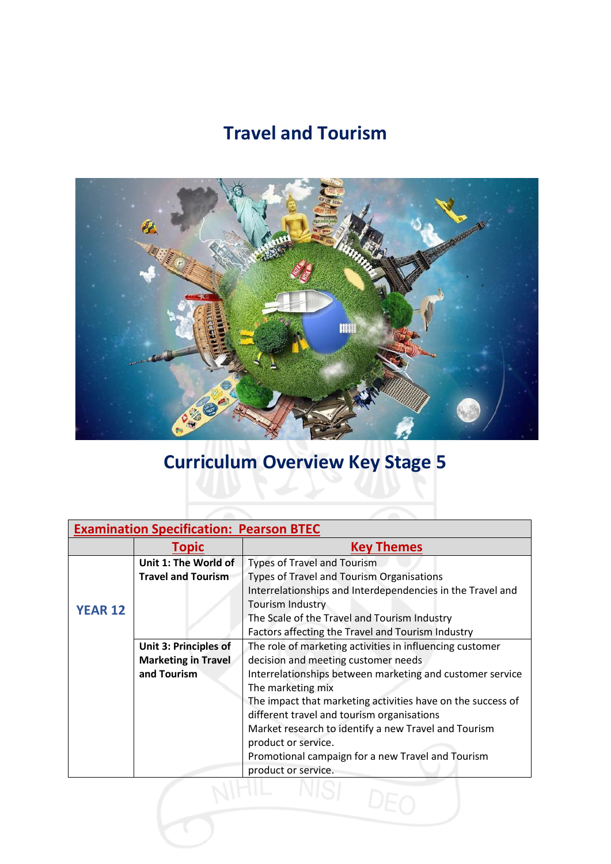## **Travel and Tourism**



## **Curriculum Overview Key Stage 5**

| <b>Examination Specification: Pearson BTEC</b> |                              |                                                             |
|------------------------------------------------|------------------------------|-------------------------------------------------------------|
|                                                | Topic                        | <b>Key Themes</b>                                           |
| <b>YEAR 12</b>                                 | Unit 1: The World of         | <b>Types of Travel and Tourism</b>                          |
|                                                | <b>Travel and Tourism</b>    | <b>Types of Travel and Tourism Organisations</b>            |
|                                                |                              | Interrelationships and Interdependencies in the Travel and  |
|                                                |                              | <b>Tourism Industry</b>                                     |
|                                                |                              | The Scale of the Travel and Tourism Industry                |
|                                                |                              | Factors affecting the Travel and Tourism Industry           |
|                                                | <b>Unit 3: Principles of</b> | The role of marketing activities in influencing customer    |
|                                                | <b>Marketing in Travel</b>   | decision and meeting customer needs                         |
|                                                | and Tourism                  | Interrelationships between marketing and customer service   |
|                                                |                              | The marketing mix                                           |
|                                                |                              | The impact that marketing activities have on the success of |
|                                                |                              | different travel and tourism organisations                  |
|                                                |                              | Market research to identify a new Travel and Tourism        |
|                                                |                              | product or service.                                         |
|                                                |                              | Promotional campaign for a new Travel and Tourism           |
|                                                |                              | product or service.                                         |
|                                                |                              |                                                             |